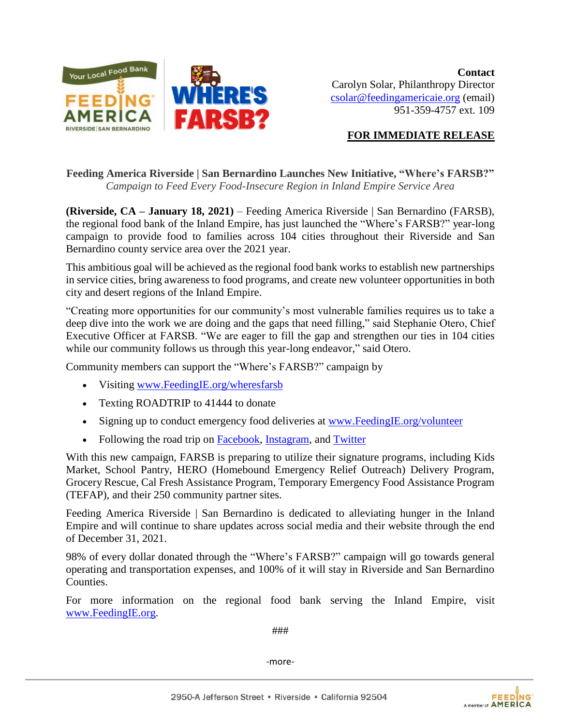

## **FOR IMMEDIATE RELEASE**

## **Feeding America Riverside | San Bernardino Launches New Initiative, "Where's FARSB?"** *Campaign to Feed Every Food-Insecure Region in Inland Empire Service Area*

**(Riverside, CA – January 18, 2021)** – Feeding America Riverside | San Bernardino (FARSB), the regional food bank of the Inland Empire, has just launched the "Where's FARSB?" year-long campaign to provide food to families across 104 cities throughout their Riverside and San Bernardino county service area over the 2021 year.

This ambitious goal will be achieved as the regional food bank works to establish new partnerships in service cities, bring awareness to food programs, and create new volunteer opportunities in both city and desert regions of the Inland Empire.

"Creating more opportunities for our community's most vulnerable families requires us to take a deep dive into the work we are doing and the gaps that need filling," said Stephanie Otero, Chief Executive Officer at FARSB. "We are eager to fill the gap and strengthen our ties in 104 cities while our community follows us through this year-long endeavor," said Otero.

Community members can support the "Where's FARSB?" campaign by

- Visiting [www.FeedingIE.org/wheresfarsb](http://www.feedingie.org/wheresfarsb)
- Texting ROADTRIP to 41444 to donate
- Signing up to conduct emergency food deliveries at [www.FeedingIE.org/volunteer](http://www.feedingie.org/volunteer)
- Following the road trip on [Facebook,](http://www.facebook.com/feedingamericaie) [Instagram,](http://www.instagram.com/feedidngamericaie) and [Twitter](http://www.twitter.com/feedingie)

With this new campaign, FARSB is preparing to utilize their signature programs, including Kids Market, School Pantry, HERO (Homebound Emergency Relief Outreach) Delivery Program, Grocery Rescue, Cal Fresh Assistance Program, Temporary Emergency Food Assistance Program (TEFAP), and their 250 community partner sites.

Feeding America Riverside | San Bernardino is dedicated to alleviating hunger in the Inland Empire and will continue to share updates across social media and their website through the end of December 31, 2021.

98% of every dollar donated through the "Where's FARSB?" campaign will go towards general operating and transportation expenses, and 100% of it will stay in Riverside and San Bernardino Counties.

For more information on the regional food bank serving the Inland Empire, visit www.FeedingIE.org.

###

-more-